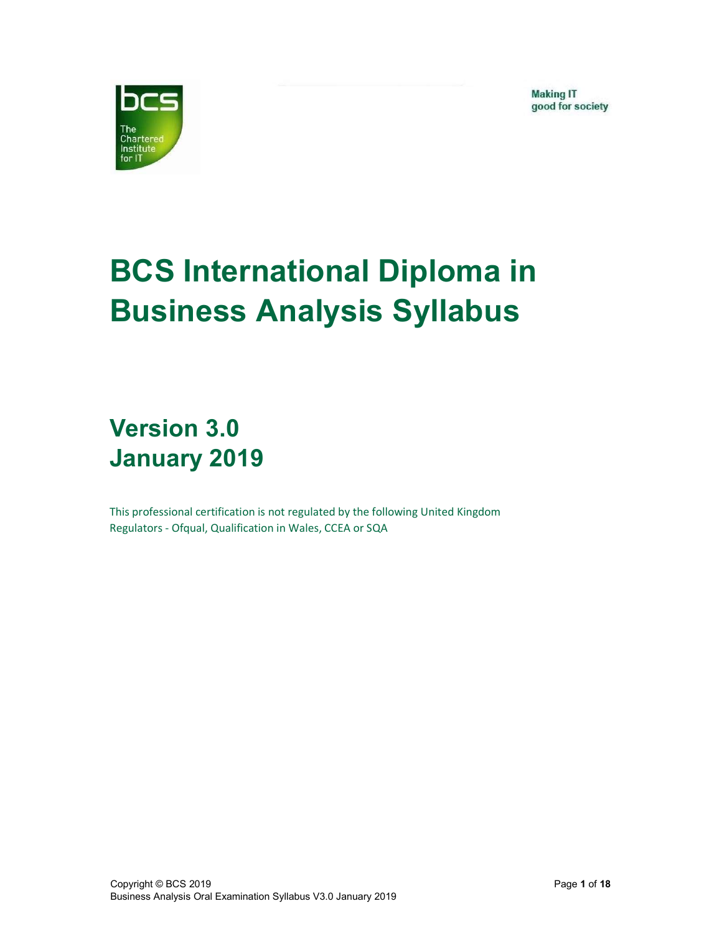**Making IT** good for society



# BCS International Diploma in Business Analysis Syllabus

## Version 3.0 January 2019

This professional certification is not regulated by the following United Kingdom Regulators - Ofqual, Qualification in Wales, CCEA or SQA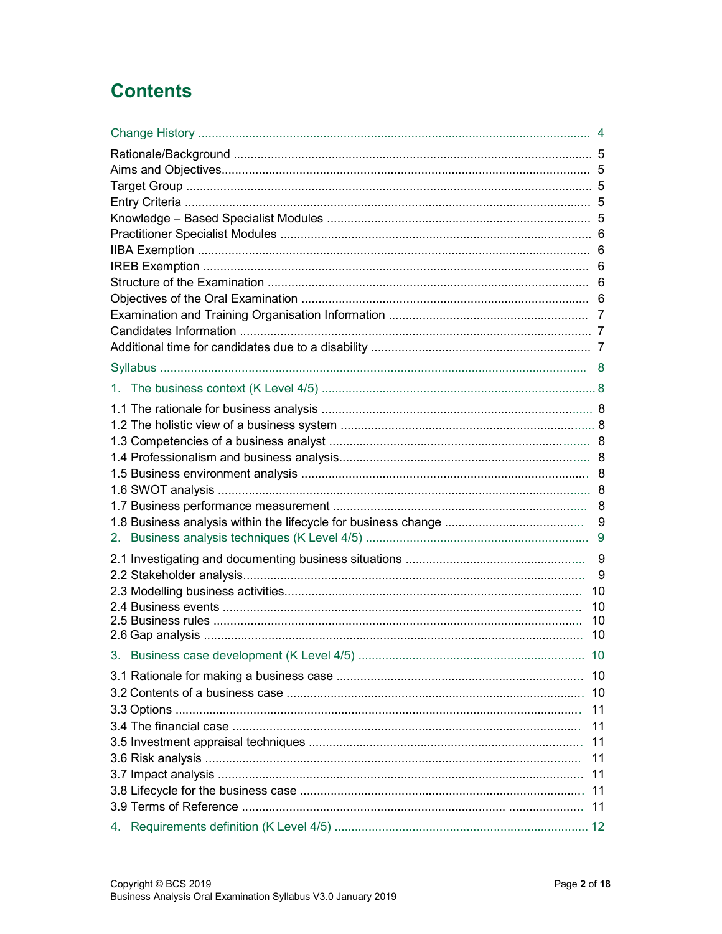### **Contents**

|  | 9   |  |  |  |
|--|-----|--|--|--|
|  |     |  |  |  |
|  | 9   |  |  |  |
|  | 9   |  |  |  |
|  | 10  |  |  |  |
|  | 10  |  |  |  |
|  | 10  |  |  |  |
|  | 10  |  |  |  |
|  | 10  |  |  |  |
|  | -10 |  |  |  |
|  | 10  |  |  |  |
|  | 11  |  |  |  |
|  |     |  |  |  |
|  | 11  |  |  |  |
|  | 11  |  |  |  |
|  | 11  |  |  |  |
|  | 11  |  |  |  |
|  | 11  |  |  |  |
|  | 11  |  |  |  |
|  |     |  |  |  |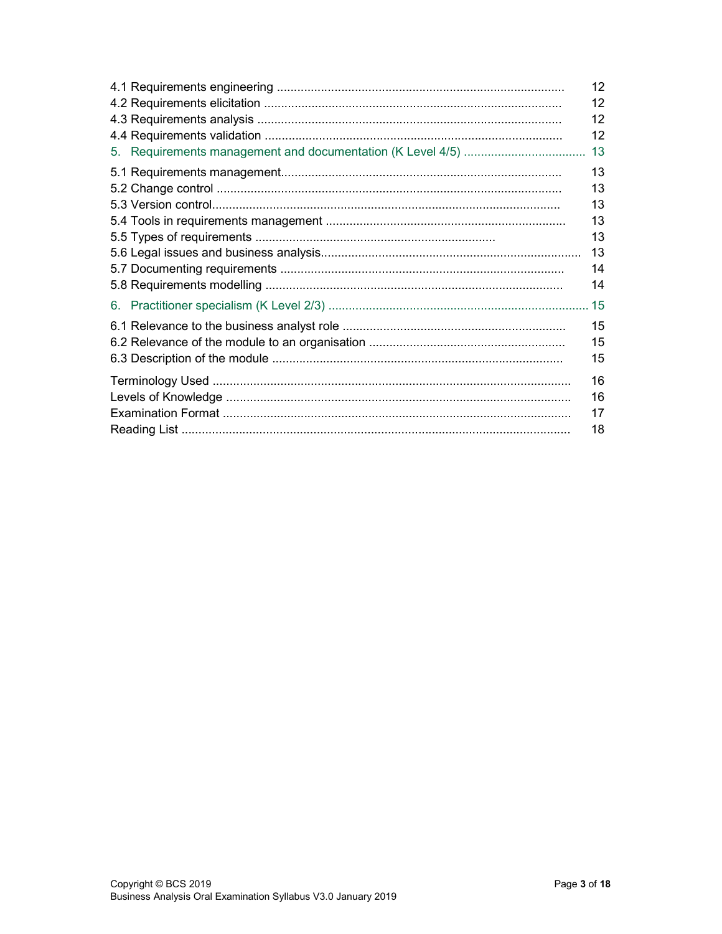|    | 12 |
|----|----|
|    | 12 |
|    | 12 |
|    | 12 |
|    | 13 |
|    | 13 |
|    | 13 |
|    | 13 |
|    | 13 |
|    | 13 |
|    | 13 |
|    | 14 |
|    | 14 |
| 6. |    |
|    | 15 |
|    | 15 |
|    | 15 |
|    | 16 |
|    | 16 |
|    | 17 |
|    | 18 |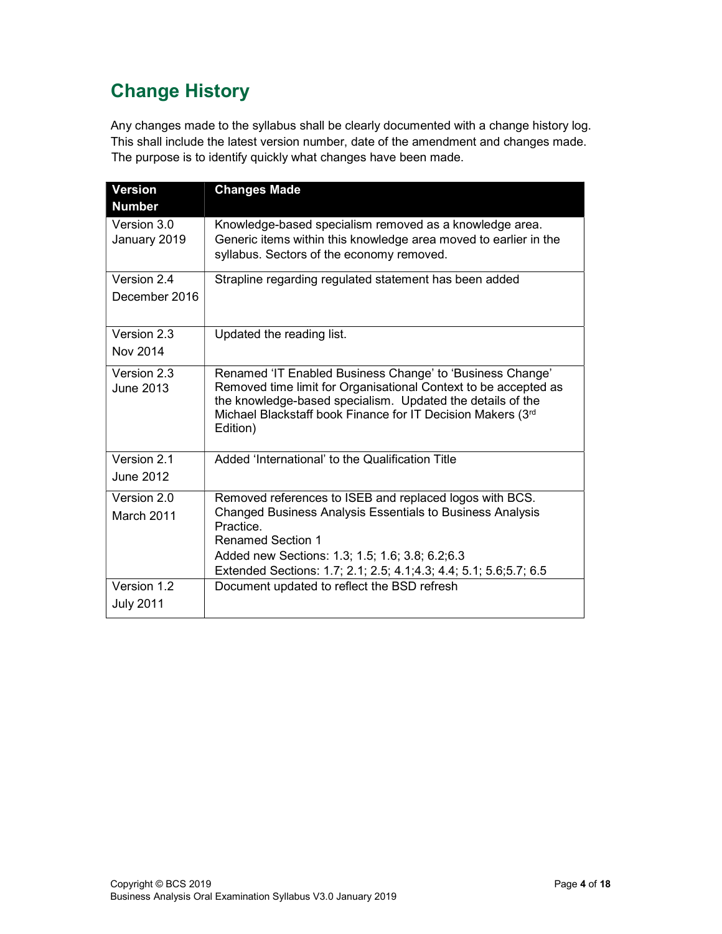### Change History

Any changes made to the syllabus shall be clearly documented with a change history log. This shall include the latest version number, date of the amendment and changes made. The purpose is to identify quickly what changes have been made.

| <b>Version</b>                    | <b>Changes Made</b>                                                                                                                                                                                                                                                                      |
|-----------------------------------|------------------------------------------------------------------------------------------------------------------------------------------------------------------------------------------------------------------------------------------------------------------------------------------|
| <b>Number</b>                     |                                                                                                                                                                                                                                                                                          |
| Version 3.0<br>January 2019       | Knowledge-based specialism removed as a knowledge area.<br>Generic items within this knowledge area moved to earlier in the<br>syllabus. Sectors of the economy removed.                                                                                                                 |
| Version 2.4<br>December 2016      | Strapline regarding regulated statement has been added                                                                                                                                                                                                                                   |
| Version 2.3<br>Nov 2014           | Updated the reading list.                                                                                                                                                                                                                                                                |
| Version 2.3<br>June 2013          | Renamed 'IT Enabled Business Change' to 'Business Change'<br>Removed time limit for Organisational Context to be accepted as<br>the knowledge-based specialism. Updated the details of the<br>Michael Blackstaff book Finance for IT Decision Makers (3rd<br>Edition)                    |
| Version 2.1<br>June 2012          | Added 'International' to the Qualification Title                                                                                                                                                                                                                                         |
| Version 2.0<br>March 2011         | Removed references to ISEB and replaced logos with BCS.<br>Changed Business Analysis Essentials to Business Analysis<br>Practice.<br><b>Renamed Section 1</b><br>Added new Sections: 1.3; 1.5; 1.6; 3.8; 6.2; 6.3<br>Extended Sections: 1.7; 2.1; 2.5; 4.1; 4.3; 4.4; 5.1; 5.6; 5.7; 6.5 |
| Version $1.2$<br><b>July 2011</b> | Document updated to reflect the BSD refresh                                                                                                                                                                                                                                              |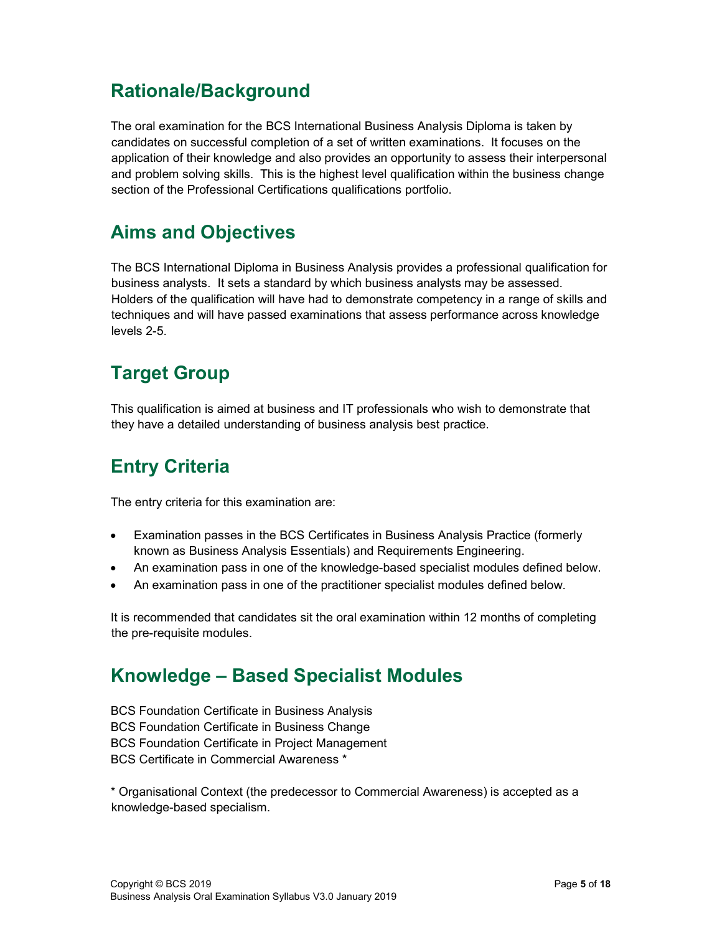#### Rationale/Background

The oral examination for the BCS International Business Analysis Diploma is taken by candidates on successful completion of a set of written examinations. It focuses on the application of their knowledge and also provides an opportunity to assess their interpersonal and problem solving skills. This is the highest level qualification within the business change section of the Professional Certifications qualifications portfolio.

#### Aims and Objectives

The BCS International Diploma in Business Analysis provides a professional qualification for business analysts. It sets a standard by which business analysts may be assessed. Holders of the qualification will have had to demonstrate competency in a range of skills and techniques and will have passed examinations that assess performance across knowledge levels 2-5.

### Target Group

This qualification is aimed at business and IT professionals who wish to demonstrate that they have a detailed understanding of business analysis best practice.

### Entry Criteria

The entry criteria for this examination are:

- Examination passes in the BCS Certificates in Business Analysis Practice (formerly known as Business Analysis Essentials) and Requirements Engineering.
- An examination pass in one of the knowledge-based specialist modules defined below.
- An examination pass in one of the practitioner specialist modules defined below.

It is recommended that candidates sit the oral examination within 12 months of completing the pre-requisite modules.

### Knowledge – Based Specialist Modules

BCS Foundation Certificate in Business Analysis BCS Foundation Certificate in Business Change BCS Foundation Certificate in Project Management BCS Certificate in Commercial Awareness \*

\* Organisational Context (the predecessor to Commercial Awareness) is accepted as a knowledge-based specialism.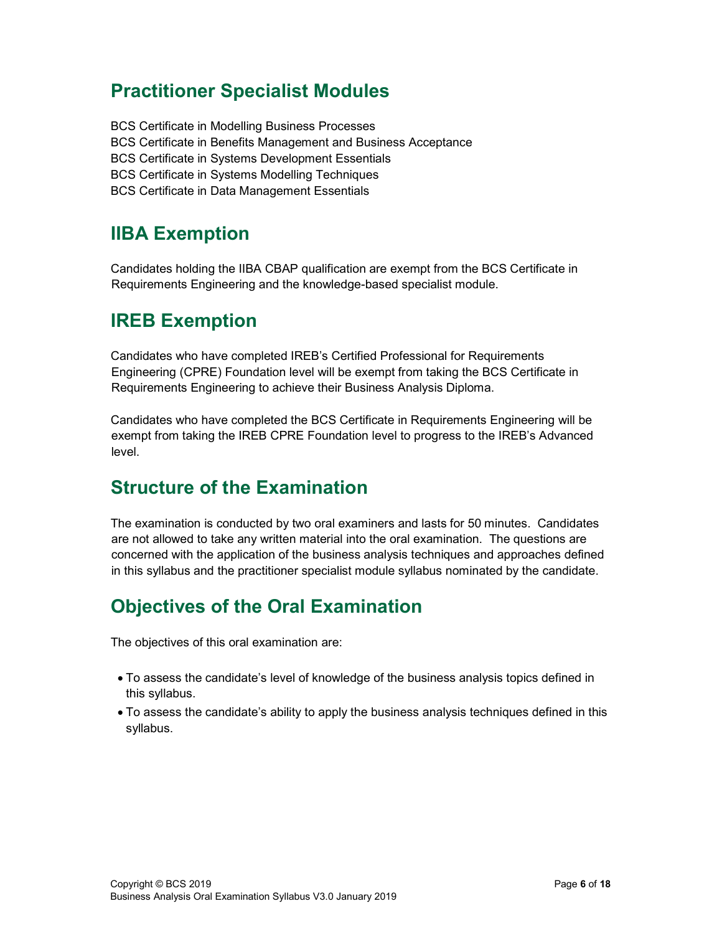#### Practitioner Specialist Modules

BCS Certificate in Modelling Business Processes BCS Certificate in Benefits Management and Business Acceptance BCS Certificate in Systems Development Essentials BCS Certificate in Systems Modelling Techniques BCS Certificate in Data Management Essentials

#### IIBA Exemption

Candidates holding the IIBA CBAP qualification are exempt from the BCS Certificate in Requirements Engineering and the knowledge-based specialist module.

#### IREB Exemption

Candidates who have completed IREB's Certified Professional for Requirements Engineering (CPRE) Foundation level will be exempt from taking the BCS Certificate in Requirements Engineering to achieve their Business Analysis Diploma.

Candidates who have completed the BCS Certificate in Requirements Engineering will be exempt from taking the IREB CPRE Foundation level to progress to the IREB's Advanced level.

#### Structure of the Examination

The examination is conducted by two oral examiners and lasts for 50 minutes. Candidates are not allowed to take any written material into the oral examination. The questions are concerned with the application of the business analysis techniques and approaches defined in this syllabus and the practitioner specialist module syllabus nominated by the candidate.

### Objectives of the Oral Examination

The objectives of this oral examination are:

- To assess the candidate's level of knowledge of the business analysis topics defined in this syllabus.
- To assess the candidate's ability to apply the business analysis techniques defined in this syllabus.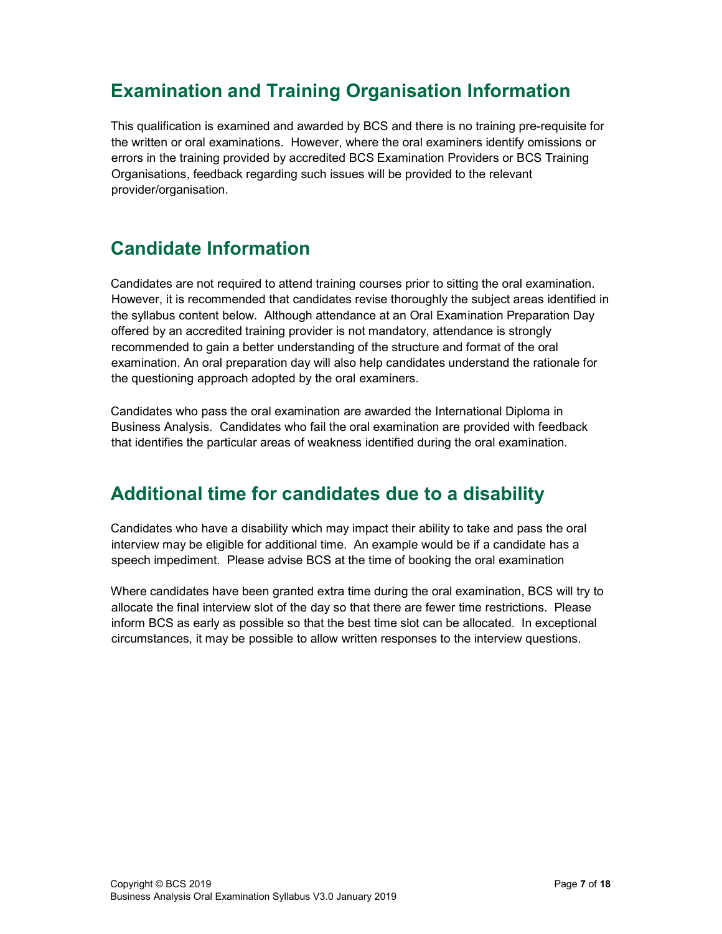### Examination and Training Organisation Information

This qualification is examined and awarded by BCS and there is no training pre-requisite for the written or oral examinations. However, where the oral examiners identify omissions or errors in the training provided by accredited BCS Examination Providers or BCS Training Organisations, feedback regarding such issues will be provided to the relevant provider/organisation.

#### Candidate Information

Candidates are not required to attend training courses prior to sitting the oral examination. However, it is recommended that candidates revise thoroughly the subject areas identified in the syllabus content below. Although attendance at an Oral Examination Preparation Day offered by an accredited training provider is not mandatory, attendance is strongly recommended to gain a better understanding of the structure and format of the oral examination. An oral preparation day will also help candidates understand the rationale for the questioning approach adopted by the oral examiners.

Candidates who pass the oral examination are awarded the International Diploma in Business Analysis. Candidates who fail the oral examination are provided with feedback that identifies the particular areas of weakness identified during the oral examination.

#### Additional time for candidates due to a disability

Candidates who have a disability which may impact their ability to take and pass the oral interview may be eligible for additional time. An example would be if a candidate has a speech impediment. Please advise BCS at the time of booking the oral examination

Where candidates have been granted extra time during the oral examination, BCS will try to allocate the final interview slot of the day so that there are fewer time restrictions. Please inform BCS as early as possible so that the best time slot can be allocated. In exceptional circumstances, it may be possible to allow written responses to the interview questions.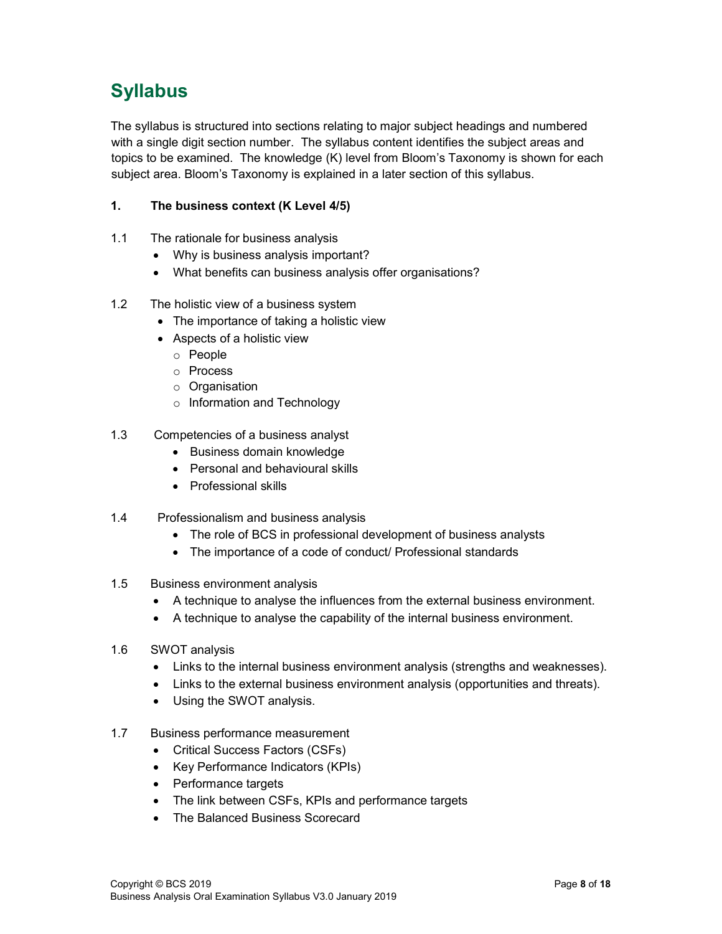### Syllabus

The syllabus is structured into sections relating to major subject headings and numbered with a single digit section number. The syllabus content identifies the subject areas and topics to be examined. The knowledge (K) level from Bloom's Taxonomy is shown for each subject area. Bloom's Taxonomy is explained in a later section of this syllabus.

#### 1. The business context (K Level 4/5)

- 1.1 The rationale for business analysis
	- Why is business analysis important?
	- What benefits can business analysis offer organisations?

#### 1.2 The holistic view of a business system

- The importance of taking a holistic view
- Aspects of a holistic view
	- o People
	- o Process
	- o Organisation
	- o Information and Technology
- 1.3 Competencies of a business analyst
	- Business domain knowledge
	- Personal and behavioural skills
	- Professional skills
- 1.4 Professionalism and business analysis
	- The role of BCS in professional development of business analysts
	- The importance of a code of conduct/ Professional standards
- 1.5 Business environment analysis
	- A technique to analyse the influences from the external business environment.
	- A technique to analyse the capability of the internal business environment.
- 1.6 SWOT analysis
	- Links to the internal business environment analysis (strengths and weaknesses).
	- Links to the external business environment analysis (opportunities and threats).
	- Using the SWOT analysis.
- 1.7 Business performance measurement
	- Critical Success Factors (CSFs)
	- Key Performance Indicators (KPIs)
	- Performance targets
	- The link between CSFs, KPIs and performance targets
	- The Balanced Business Scorecard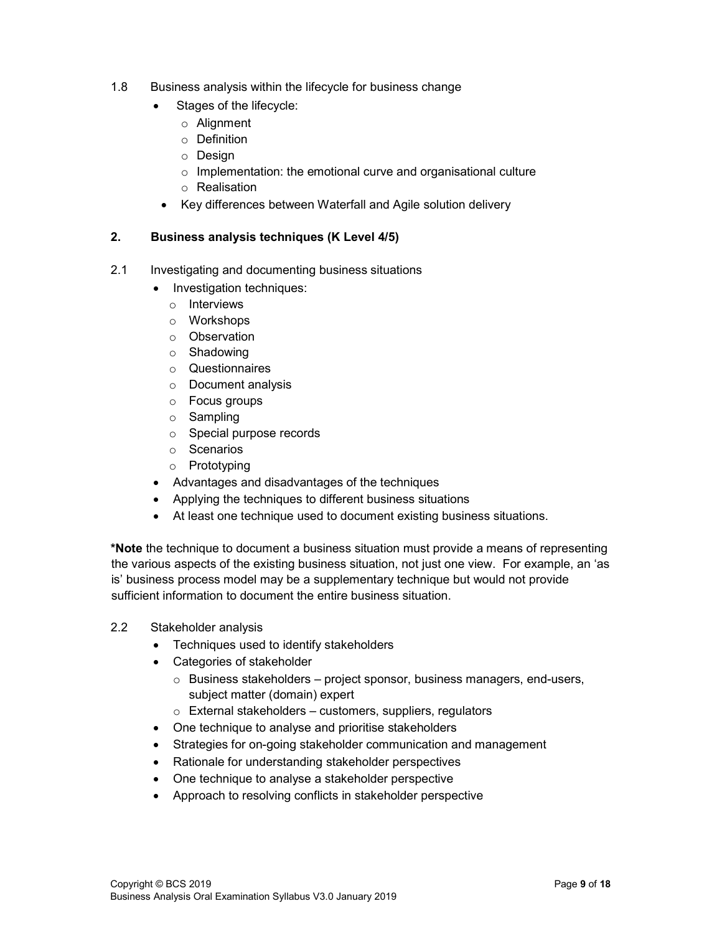- 1.8 Business analysis within the lifecycle for business change
	- Stages of the lifecycle:
		- o Alignment
		- o Definition
		- o Design
		- $\circ$  Implementation: the emotional curve and organisational culture
		- o Realisation
	- Key differences between Waterfall and Agile solution delivery

#### 2. Business analysis techniques (K Level 4/5)

- 2.1 Investigating and documenting business situations
	- Investigation techniques:
	- o Interviews
	- o Workshops
	- o Observation
	- o Shadowing
	- o Questionnaires
	- o Document analysis
	- o Focus groups
	- o Sampling
	- o Special purpose records
	- o Scenarios
	- o Prototyping
	- Advantages and disadvantages of the techniques
	- Applying the techniques to different business situations
	- At least one technique used to document existing business situations.

\*Note the technique to document a business situation must provide a means of representing the various aspects of the existing business situation, not just one view. For example, an 'as is' business process model may be a supplementary technique but would not provide sufficient information to document the entire business situation.

- 2.2 Stakeholder analysis
	- Techniques used to identify stakeholders
	- Categories of stakeholder
		- $\circ$  Business stakeholders project sponsor, business managers, end-users, subject matter (domain) expert
		- $\circ$  External stakeholders customers, suppliers, regulators
	- One technique to analyse and prioritise stakeholders
	- Strategies for on-going stakeholder communication and management
	- Rationale for understanding stakeholder perspectives
	- One technique to analyse a stakeholder perspective
	- Approach to resolving conflicts in stakeholder perspective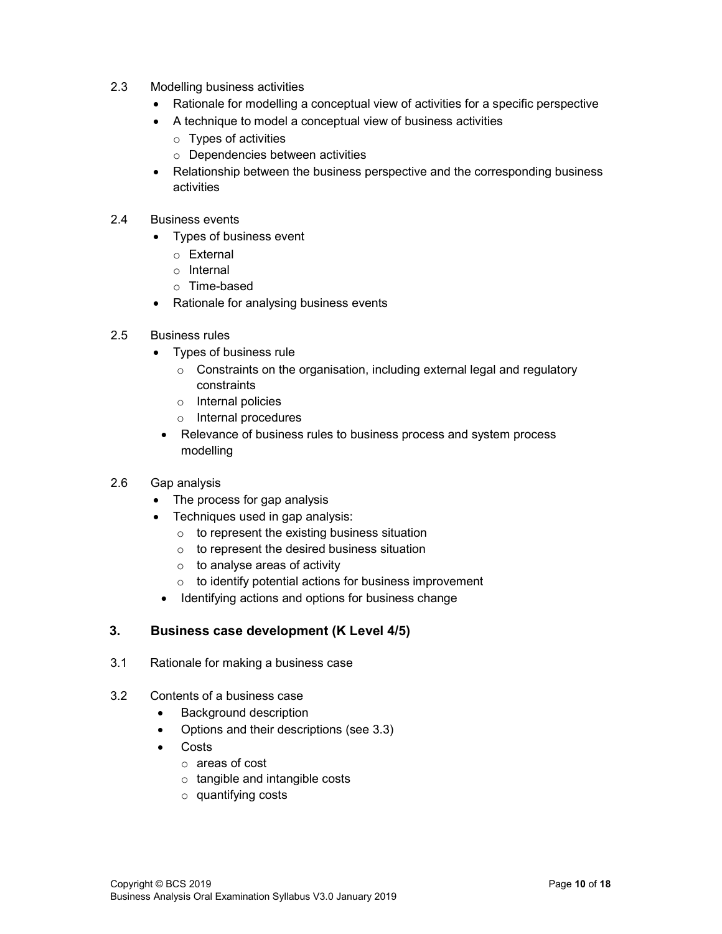- 2.3 Modelling business activities
	- Rationale for modelling a conceptual view of activities for a specific perspective
	- A technique to model a conceptual view of business activities
		- o Types of activities
		- o Dependencies between activities
	- Relationship between the business perspective and the corresponding business activities
- 2.4 Business events
	- Types of business event
		- o External
		- o Internal
		- o Time-based
	- Rationale for analysing business events
- 2.5 Business rules
	- Types of business rule
		- $\circ$  Constraints on the organisation, including external legal and regulatory constraints
		- o Internal policies
		- o Internal procedures
		- Relevance of business rules to business process and system process modelling
- 2.6 Gap analysis
	- The process for gap analysis
	- Techniques used in gap analysis:
		- $\circ$  to represent the existing business situation
		- o to represent the desired business situation
		- $\circ$  to analyse areas of activity
		- $\circ$  to identify potential actions for business improvement
		- Identifying actions and options for business change

#### 3. Business case development (K Level 4/5)

- 3.1 Rationale for making a business case
- 3.2 Contents of a business case
	- Background description
	- Options and their descriptions (see 3.3)
	- Costs
		- o areas of cost
		- o tangible and intangible costs
		- o quantifying costs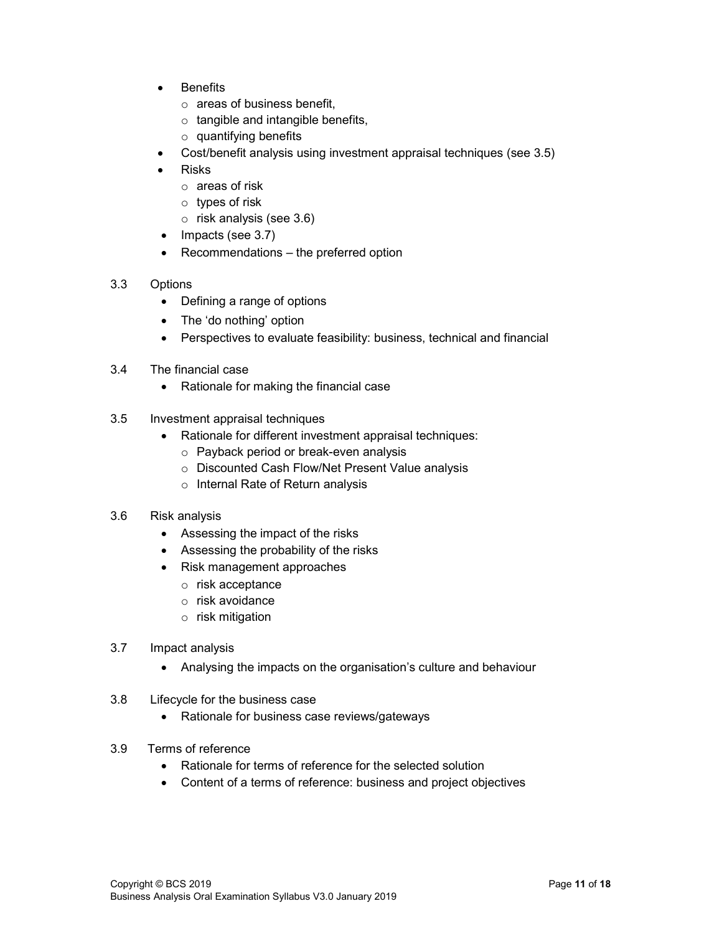- **Benefits** 
	- o areas of business benefit,
	- $\circ$  tangible and intangible benefits,
	- o quantifying benefits
- Cost/benefit analysis using investment appraisal techniques (see 3.5)
- Risks
	- o areas of risk
	- o types of risk
	- o risk analysis (see 3.6)
- $\bullet$  Impacts (see 3.7)
- Recommendations the preferred option
- 3.3 Options
	- Defining a range of options
	- The 'do nothing' option
	- Perspectives to evaluate feasibility: business, technical and financial
- 3.4 The financial case
	- Rationale for making the financial case
- 3.5 Investment appraisal techniques
	- Rationale for different investment appraisal techniques:
		- o Payback period or break-even analysis
		- o Discounted Cash Flow/Net Present Value analysis
		- o Internal Rate of Return analysis

#### 3.6 Risk analysis

- Assessing the impact of the risks
- Assessing the probability of the risks
- Risk management approaches
	- o risk acceptance
	- o risk avoidance
	- o risk mitigation
- 3.7 Impact analysis
	- Analysing the impacts on the organisation's culture and behaviour
- 3.8 Lifecycle for the business case
	- Rationale for business case reviews/gateways
- 3.9 Terms of reference
	- Rationale for terms of reference for the selected solution
	- Content of a terms of reference: business and project objectives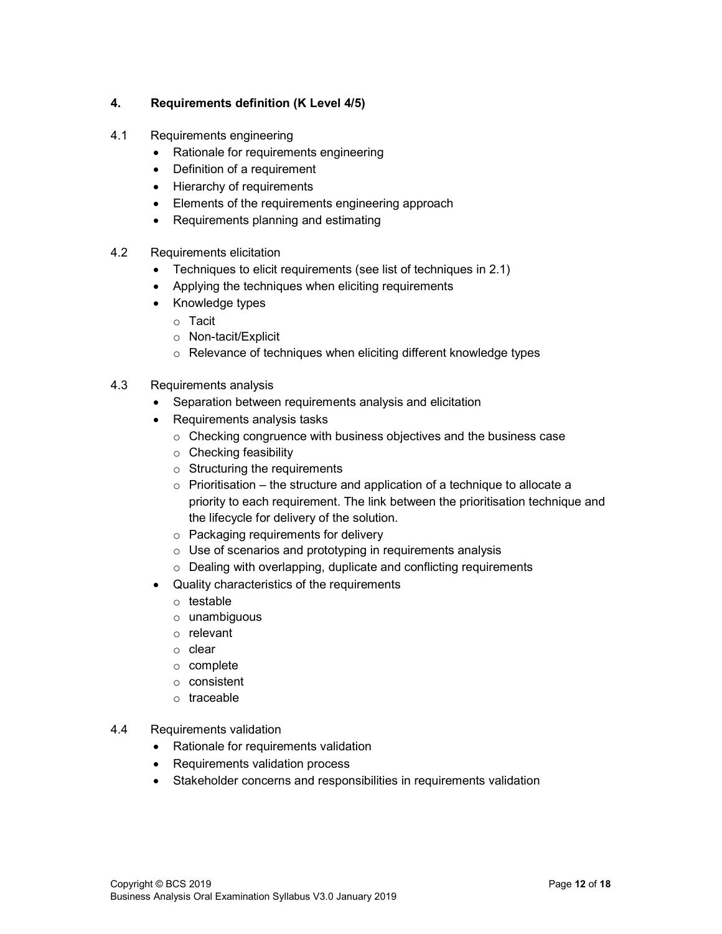#### 4. Requirements definition (K Level 4/5)

- 4.1 Requirements engineering
	- Rationale for requirements engineering
	- Definition of a requirement
	- Hierarchy of requirements
	- Elements of the requirements engineering approach
	- Requirements planning and estimating
- 4.2 Requirements elicitation
	- Techniques to elicit requirements (see list of techniques in 2.1)
	- Applying the techniques when eliciting requirements
	- Knowledge types
		- o Tacit
		- o Non-tacit/Explicit
		- o Relevance of techniques when eliciting different knowledge types
- 4.3 Requirements analysis
	- Separation between requirements analysis and elicitation
	- Requirements analysis tasks
		- o Checking congruence with business objectives and the business case
		- o Checking feasibility
		- $\circ$  Structuring the requirements
		- $\circ$  Prioritisation the structure and application of a technique to allocate a priority to each requirement. The link between the prioritisation technique and the lifecycle for delivery of the solution.
		- o Packaging requirements for delivery
		- o Use of scenarios and prototyping in requirements analysis
		- o Dealing with overlapping, duplicate and conflicting requirements
	- Quality characteristics of the requirements
		- o testable
		- o unambiguous
		- o relevant
		- o clear
		- o complete
		- o consistent
		- o traceable
- 4.4 Requirements validation
	- Rationale for requirements validation
	- Requirements validation process
	- Stakeholder concerns and responsibilities in requirements validation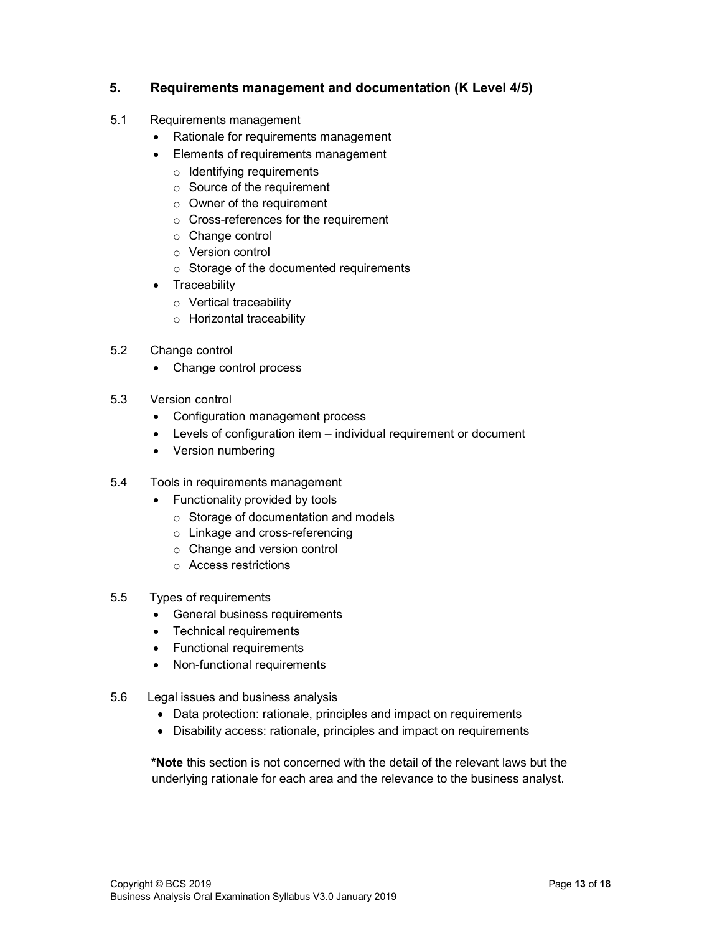#### 5. Requirements management and documentation (K Level 4/5)

- 5.1 Requirements management
	- Rationale for requirements management
	- Elements of requirements management
		- $\circ$  Identifying requirements
		- o Source of the requirement
		- o Owner of the requirement
		- o Cross-references for the requirement
		- o Change control
		- o Version control
		- o Storage of the documented requirements
	- Traceability
		- o Vertical traceability
		- o Horizontal traceability
- 5.2 Change control
	- Change control process
- 5.3 Version control
	- Configuration management process
	- Levels of configuration item individual requirement or document
	- Version numbering
- 5.4 Tools in requirements management
	- Functionality provided by tools
		- o Storage of documentation and models
		- o Linkage and cross-referencing
		- o Change and version control
		- o Access restrictions
- 5.5 Types of requirements
	- General business requirements
	- Technical requirements
	- Functional requirements
	- Non-functional requirements
- 5.6 Legal issues and business analysis
	- Data protection: rationale, principles and impact on requirements
	- Disability access: rationale, principles and impact on requirements

\*Note this section is not concerned with the detail of the relevant laws but the underlying rationale for each area and the relevance to the business analyst.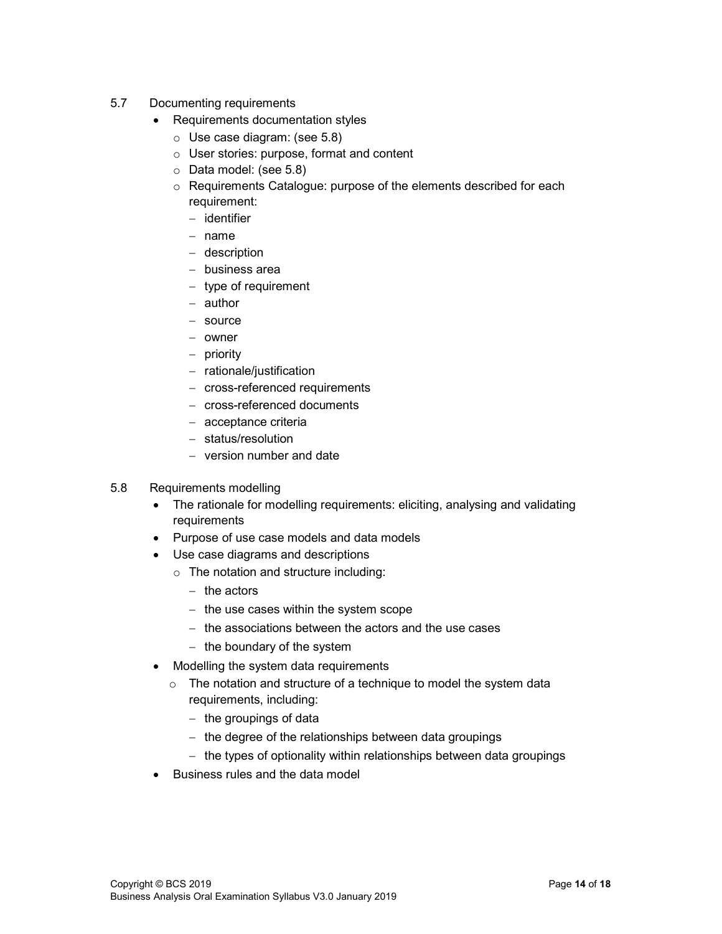- 5.7 Documenting requirements
	- Requirements documentation styles
		- o Use case diagram: (see 5.8)
		- o User stories: purpose, format and content
		- o Data model: (see 5.8)
		- o Requirements Catalogue: purpose of the elements described for each requirement:
			- $-$  identifier
			- $-$  name
			- description
			- business area
			- $-$  type of requirement
			- author
			- source
			- owner
			- $-$  priority
			- $-$  rationale/justification
			- cross-referenced requirements
			- cross-referenced documents
			- acceptance criteria
			- status/resolution
			- version number and date

#### 5.8 Requirements modelling

- The rationale for modelling requirements: eliciting, analysing and validating requirements
- Purpose of use case models and data models
- Use case diagrams and descriptions
	- o The notation and structure including:
		- $-$  the actors
		- $-$  the use cases within the system scope
		- $-$  the associations between the actors and the use cases
		- $-$  the boundary of the system
- Modelling the system data requirements
	- o The notation and structure of a technique to model the system data requirements, including:
		- $-$  the groupings of data
		- $-$  the degree of the relationships between data groupings
		- $-$  the types of optionality within relationships between data groupings
- Business rules and the data model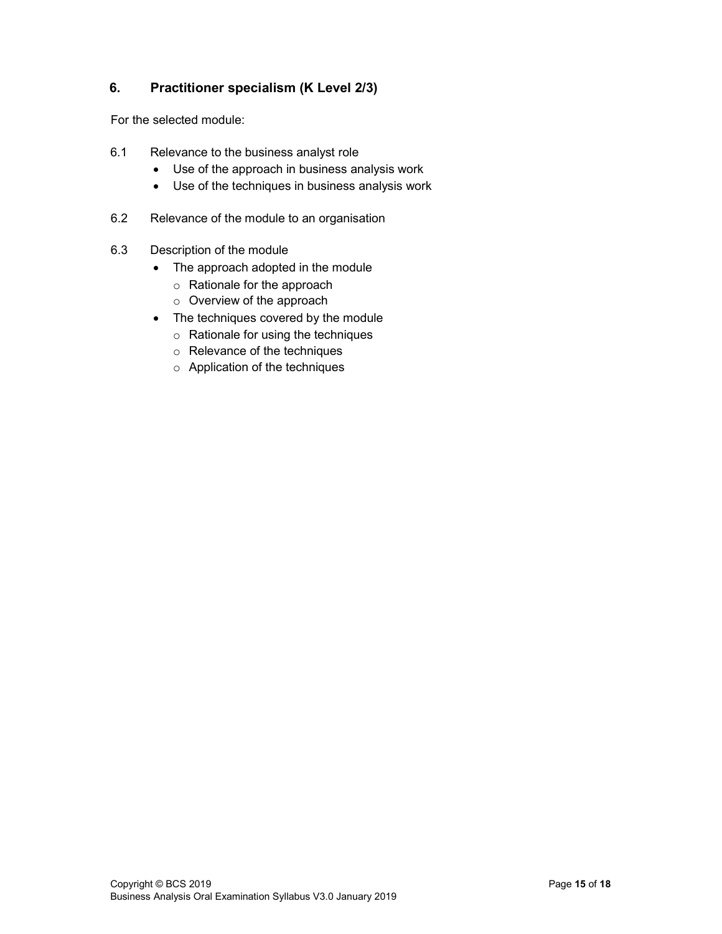#### 6. Practitioner specialism (K Level 2/3)

For the selected module:

- 6.1 Relevance to the business analyst role
	- Use of the approach in business analysis work
	- Use of the techniques in business analysis work
- 6.2 Relevance of the module to an organisation
- 6.3 Description of the module
	- The approach adopted in the module
		- o Rationale for the approach
		- o Overview of the approach
	- The techniques covered by the module
		- o Rationale for using the techniques
		- o Relevance of the techniques
		- o Application of the techniques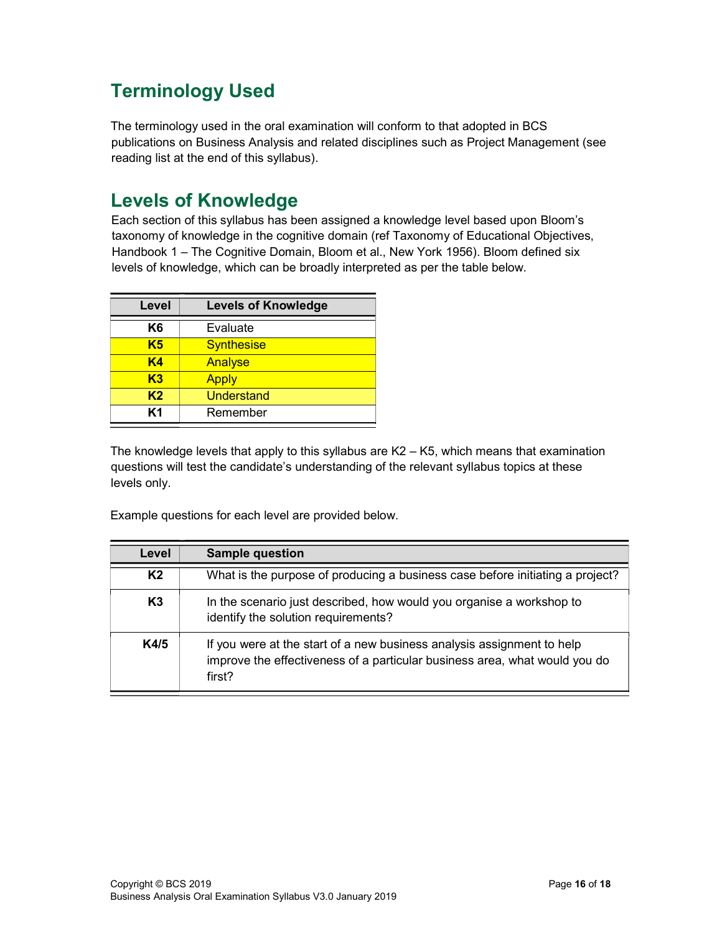### Terminology Used

The terminology used in the oral examination will conform to that adopted in BCS publications on Business Analysis and related disciplines such as Project Management (see reading list at the end of this syllabus).

#### Levels of Knowledge

Each section of this syllabus has been assigned a knowledge level based upon Bloom's taxonomy of knowledge in the cognitive domain (ref Taxonomy of Educational Objectives, Handbook 1 – The Cognitive Domain, Bloom et al., New York 1956). Bloom defined six levels of knowledge, which can be broadly interpreted as per the table below.

| Level          | <b>Levels of Knowledge</b> |  |
|----------------|----------------------------|--|
| K6             | Evaluate                   |  |
| K <sub>5</sub> | <b>Synthesise</b>          |  |
| K4             | Analyse                    |  |
| K3             | <b>Apply</b>               |  |
| K <sub>2</sub> | Understand                 |  |
| Κ1             | Remember                   |  |

The knowledge levels that apply to this syllabus are K2 – K5, which means that examination questions will test the candidate's understanding of the relevant syllabus topics at these levels only.

Example questions for each level are provided below.

| Level          | <b>Sample question</b>                                                                                                                                         |
|----------------|----------------------------------------------------------------------------------------------------------------------------------------------------------------|
| K <sub>2</sub> | What is the purpose of producing a business case before initiating a project?                                                                                  |
| K3             | In the scenario just described, how would you organise a workshop to<br>identify the solution requirements?                                                    |
| K4/5           | If you were at the start of a new business analysis assignment to help<br>improve the effectiveness of a particular business area, what would you do<br>first? |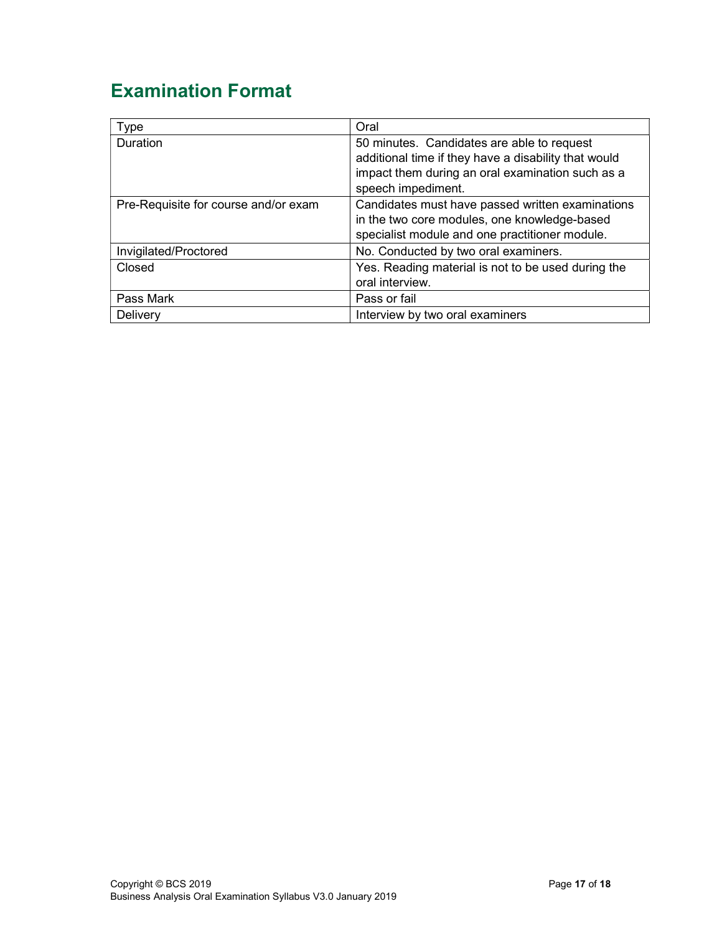### Examination Format

| Type                                 | Oral                                                 |
|--------------------------------------|------------------------------------------------------|
| <b>Duration</b>                      | 50 minutes. Candidates are able to request           |
|                                      | additional time if they have a disability that would |
|                                      | impact them during an oral examination such as a     |
|                                      | speech impediment.                                   |
| Pre-Requisite for course and/or exam | Candidates must have passed written examinations     |
|                                      | in the two core modules, one knowledge-based         |
|                                      | specialist module and one practitioner module.       |
| Invigilated/Proctored                | No. Conducted by two oral examiners.                 |
| Closed                               | Yes. Reading material is not to be used during the   |
|                                      | oral interview.                                      |
| Pass Mark                            | Pass or fail                                         |
| Delivery                             | Interview by two oral examiners                      |